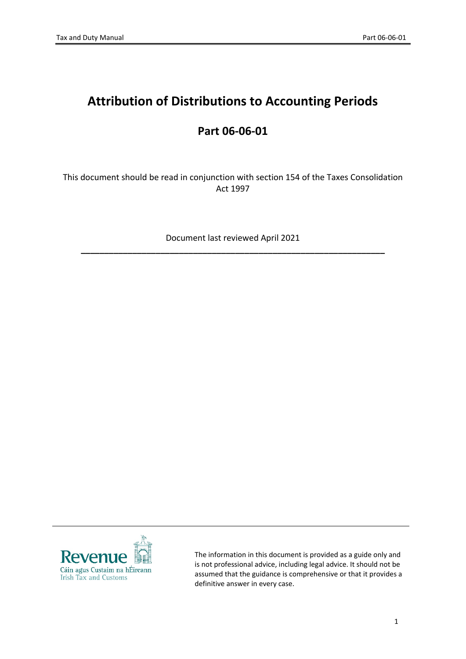# **Attribution of Distributions to Accounting Periods**

## **Part 06-06-01**

This document should be read in conjunction with section 154 of the Taxes Consolidation Act 1997

Document last reviewed April 2021 **\_\_\_\_\_\_\_\_\_\_\_\_\_\_\_\_\_\_\_\_\_\_\_\_\_\_\_\_\_\_\_\_\_\_\_\_\_\_\_\_\_\_\_\_\_\_\_\_\_\_\_\_\_\_\_\_\_\_\_\_\_\_\_\_\_**



The information in this document is provided as a guide only and is not professional advice, including legal advice. It should not be assumed that the guidance is comprehensive or that it provides a definitive answer in every case.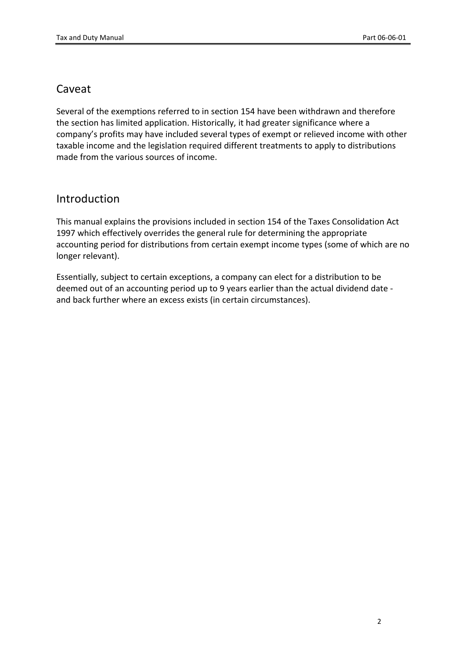## Caveat

Several of the exemptions referred to in section 154 have been withdrawn and therefore the section has limited application. Historically, it had greater significance where a company's profits may have included several types of exempt or relieved income with other taxable income and the legislation required different treatments to apply to distributions made from the various sources of income.

## Introduction

This manual explains the provisions included in section 154 of the Taxes Consolidation Act 1997 which effectively overrides the general rule for determining the appropriate accounting period for distributions from certain exempt income types (some of which are no longer relevant).

Essentially, subject to certain exceptions, a company can elect for a distribution to be deemed out of an accounting period up to 9 years earlier than the actual dividend date and back further where an excess exists (in certain circumstances).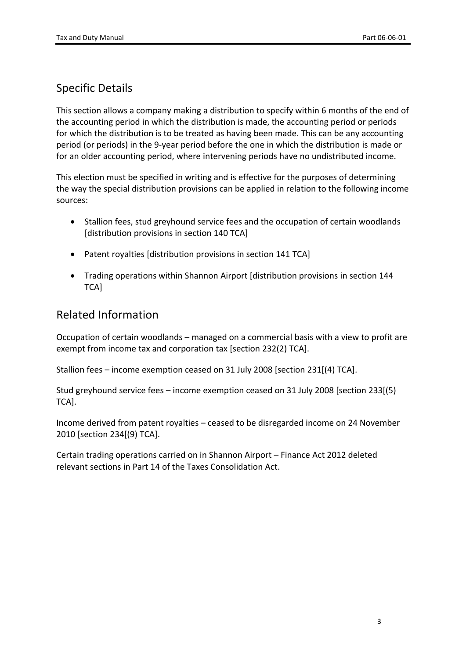## Specific Details

This section allows a company making a distribution to specify within 6 months of the end of the accounting period in which the distribution is made, the accounting period or periods for which the distribution is to be treated as having been made. This can be any accounting period (or periods) in the 9-year period before the one in which the distribution is made or for an older accounting period, where intervening periods have no undistributed income.

This election must be specified in writing and is effective for the purposes of determining the way the special distribution provisions can be applied in relation to the following income sources:

- Stallion fees, stud greyhound service fees and the occupation of certain woodlands [distribution provisions in section 140 TCA]
- Patent royalties [distribution provisions in section 141 TCA]
- Trading operations within Shannon Airport [distribution provisions in section 144 TCA]

## Related Information

Occupation of certain woodlands – managed on a commercial basis with a view to profit are exempt from income tax and corporation tax [section 232(2) TCA].

Stallion fees – income exemption ceased on 31 July 2008 [section 231[(4) TCA].

Stud greyhound service fees – income exemption ceased on 31 July 2008 [section 233[(5) TCA].

Income derived from patent royalties – ceased to be disregarded income on 24 November 2010 [section 234[(9) TCA].

Certain trading operations carried on in Shannon Airport – Finance Act 2012 deleted relevant sections in Part 14 of the Taxes Consolidation Act.